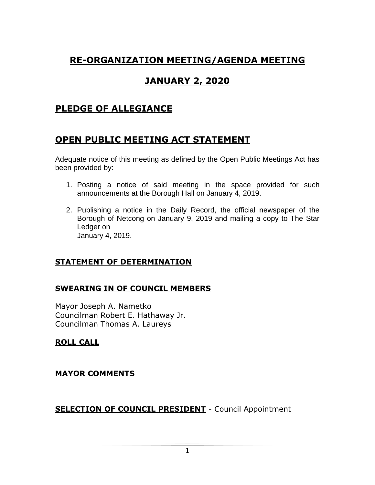# **RE-ORGANIZATION MEETING/AGENDA MEETING**

# **JANUARY 2, 2020**

## **PLEDGE OF ALLEGIANCE**

## **OPEN PUBLIC MEETING ACT STATEMENT**

Adequate notice of this meeting as defined by the Open Public Meetings Act has been provided by:

- 1. Posting a notice of said meeting in the space provided for such announcements at the Borough Hall on January 4, 2019.
- 2. Publishing a notice in the Daily Record, the official newspaper of the Borough of Netcong on January 9, 2019 and mailing a copy to The Star Ledger on January 4, 2019.

#### **STATEMENT OF DETERMINATION**

#### **SWEARING IN OF COUNCIL MEMBERS**

Mayor Joseph A. Nametko Councilman Robert E. Hathaway Jr. Councilman Thomas A. Laureys

#### **ROLL CALL**

#### **MAYOR COMMENTS**

**SELECTION OF COUNCIL PRESIDENT** - Council Appointment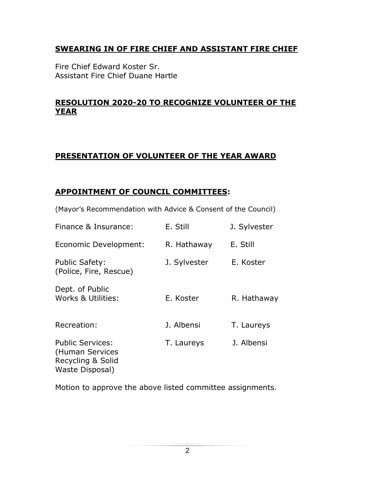#### **SWEARING IN OF FIRE CHIEF AND ASSISTANT FIRE CHIEF**

Fire Chief Edward Koster Sr. Assistant Fire Chief Duane Hartle

#### **RESOLUTION 2020-20 TO RECOGNIZE VOLUNTEER OF THE YEAR**

#### **PRESENTATION OF VOLUNTEER OF THE YEAR AWARD**

#### **APPOINTMENT OF COUNCIL COMMITTEES:**

(Mayor's Recommendation with Advice & Consent of the Council)

| Finance & Insurance:                                                               | E. Still     | J. Sylvester |
|------------------------------------------------------------------------------------|--------------|--------------|
| Economic Development:                                                              | R. Hathaway  | E. Still     |
| <b>Public Safety:</b><br>(Police, Fire, Rescue)                                    | J. Sylvester | E. Koster    |
| Dept. of Public<br>Works & Utilities:                                              | E. Koster    | R. Hathaway  |
| Recreation:                                                                        | J. Albensi   | T. Laureys   |
| <b>Public Services:</b><br>(Human Services<br>Recycling & Solid<br>Waste Disposal) | T. Laureys   | J. Albensi   |

Motion to approve the above listed committee assignments.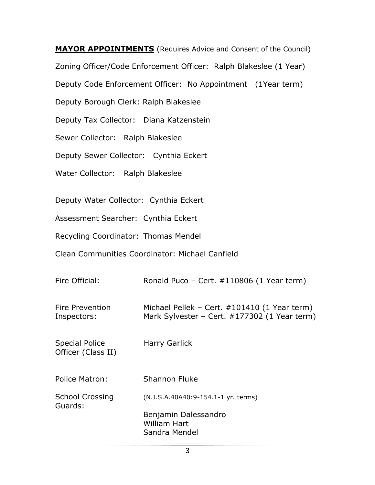**MAYOR APPOINTMENTS** (Requires Advice and Consent of the Council) Zoning Officer/Code Enforcement Officer: Ralph Blakeslee (1 Year) Deputy Code Enforcement Officer: No Appointment (1Year term) Deputy Borough Clerk: Ralph Blakeslee Deputy Tax Collector: Diana Katzenstein Sewer Collector: Ralph Blakeslee Deputy Sewer Collector: Cynthia Eckert Water Collector: Ralph Blakeslee Deputy Water Collector: Cynthia Eckert Assessment Searcher: Cynthia Eckert Recycling Coordinator: Thomas Mendel

Clean Communities Coordinator: Michael Canfield

| Fire Official:                              | Ronald Puco - Cert. $\#110806$ (1 Year term)                                                 |
|---------------------------------------------|----------------------------------------------------------------------------------------------|
| Fire Prevention<br>Inspectors:              | Michael Pellek - Cert. #101410 (1 Year term)<br>Mark Sylvester - Cert. #177302 (1 Year term) |
| <b>Special Police</b><br>Officer (Class II) | Harry Garlick                                                                                |
| Police Matron:                              | <b>Shannon Fluke</b>                                                                         |
| <b>School Crossing</b><br>Guards:           | (N.J.S.A.40A40:9-154.1-1 yr. terms)                                                          |
|                                             | Benjamin Dalessandro<br>William Hart<br>Sandra Mendel                                        |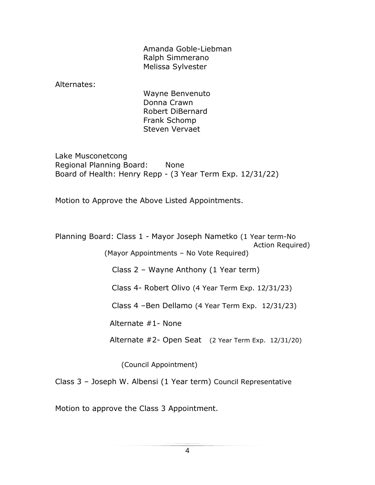Amanda Goble-Liebman Ralph Simmerano Melissa Sylvester

Alternates:

Wayne Benvenuto Donna Crawn Robert DiBernard Frank Schomp Steven Vervaet

Lake Musconetcong Regional Planning Board: None Board of Health: Henry Repp - (3 Year Term Exp. 12/31/22)

Motion to Approve the Above Listed Appointments.

Planning Board: Class 1 - Mayor Joseph Nametko (1 Year term-No Action Required)

(Mayor Appointments – No Vote Required)

Class 2 – Wayne Anthony (1 Year term)

Class 4- Robert Olivo (4 Year Term Exp. 12/31/23)

Class 4 –Ben Dellamo (4 Year Term Exp. 12/31/23)

Alternate #1- None

Alternate #2- Open Seat (2 Year Term Exp. 12/31/20)

(Council Appointment)

Class 3 – Joseph W. Albensi (1 Year term) Council Representative

Motion to approve the Class 3 Appointment.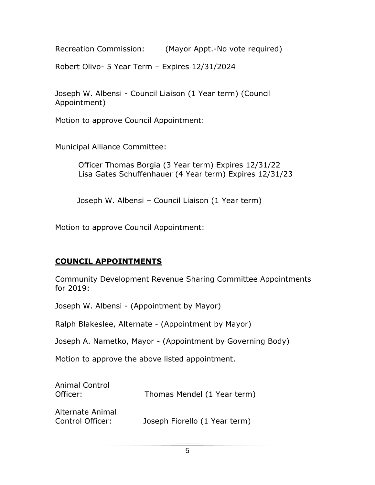Recreation Commission: (Mayor Appt.-No vote required)

Robert Olivo- 5 Year Term – Expires 12/31/2024

Joseph W. Albensi - Council Liaison (1 Year term) (Council Appointment)

Motion to approve Council Appointment:

Municipal Alliance Committee:

 Officer Thomas Borgia (3 Year term) Expires 12/31/22 Lisa Gates Schuffenhauer (4 Year term) Expires 12/31/23

Joseph W. Albensi – Council Liaison (1 Year term)

Motion to approve Council Appointment:

## **COUNCIL APPOINTMENTS**

Community Development Revenue Sharing Committee Appointments for 2019:

Joseph W. Albensi - (Appointment by Mayor)

Ralph Blakeslee, Alternate - (Appointment by Mayor)

Joseph A. Nametko, Mayor - (Appointment by Governing Body)

Motion to approve the above listed appointment.

| <b>Animal Control</b><br>Officer:           | Thomas Mendel (1 Year term)   |
|---------------------------------------------|-------------------------------|
| <b>Alternate Animal</b><br>Control Officer: | Joseph Fiorello (1 Year term) |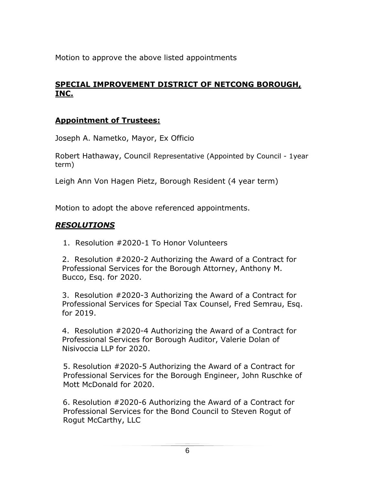Motion to approve the above listed appointments

## **SPECIAL IMPROVEMENT DISTRICT OF NETCONG BOROUGH, INC.**

### **Appointment of Trustees:**

Joseph A. Nametko, Mayor, Ex Officio

Robert Hathaway, Council Representative (Appointed by Council - 1year term)

Leigh Ann Von Hagen Pietz, Borough Resident (4 year term)

Motion to adopt the above referenced appointments.

### *RESOLUTIONS*

1. Resolution #2020-1 To Honor Volunteers

2. Resolution #2020-2 Authorizing the Award of a Contract for Professional Services for the Borough Attorney, Anthony M. Bucco, Esq. for 2020.

3. Resolution #2020-3 Authorizing the Award of a Contract for Professional Services for Special Tax Counsel, Fred Semrau, Esq. for 2019.

4. Resolution #2020-4 Authorizing the Award of a Contract for Professional Services for Borough Auditor, Valerie Dolan of Nisivoccia LLP for 2020.

 5. Resolution #2020-5 Authorizing the Award of a Contract for Professional Services for the Borough Engineer, John Ruschke of Mott McDonald for 2020.

 6. Resolution #2020-6 Authorizing the Award of a Contract for Professional Services for the Bond Council to Steven Rogut of Rogut McCarthy, LLC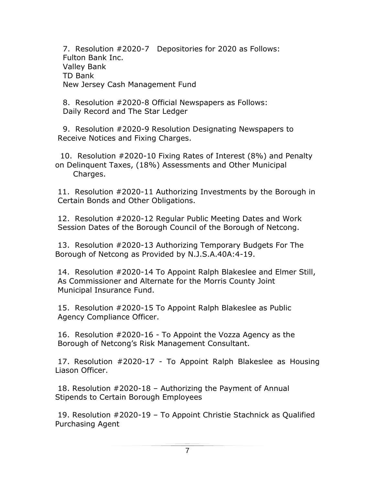7. Resolution #2020-7 Depositories for 2020 as Follows: Fulton Bank Inc. Valley Bank TD Bank New Jersey Cash Management Fund

8. Resolution #2020-8 Official Newspapers as Follows: Daily Record and The Star Ledger

9. Resolution #2020-9 Resolution Designating Newspapers to Receive Notices and Fixing Charges.

10. Resolution #2020-10 Fixing Rates of Interest (8%) and Penalty on Delinquent Taxes, (18%) Assessments and Other Municipal Charges.

11. Resolution #2020-11 Authorizing Investments by the Borough in Certain Bonds and Other Obligations.

12. Resolution #2020-12 Regular Public Meeting Dates and Work Session Dates of the Borough Council of the Borough of Netcong.

13. Resolution #2020-13 Authorizing Temporary Budgets For The Borough of Netcong as Provided by N.J.S.A.40A:4-19.

14. Resolution #2020-14 To Appoint Ralph Blakeslee and Elmer Still, As Commissioner and Alternate for the Morris County Joint Municipal Insurance Fund.

15. Resolution #2020-15 To Appoint Ralph Blakeslee as Public Agency Compliance Officer.

16. Resolution #2020-16 - To Appoint the Vozza Agency as the Borough of Netcong's Risk Management Consultant.

17. Resolution #2020-17 - To Appoint Ralph Blakeslee as Housing Liason Officer.

18. Resolution #2020-18 – Authorizing the Payment of Annual Stipends to Certain Borough Employees

19. Resolution #2020-19 – To Appoint Christie Stachnick as Qualified Purchasing Agent